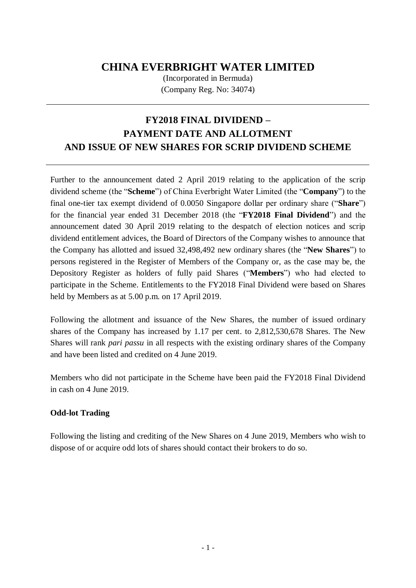## **CHINA EVERBRIGHT WATER LIMITED**

(Incorporated in Bermuda) (Company Reg. No: 34074)

# **FY2018 FINAL DIVIDEND – PAYMENT DATE AND ALLOTMENT AND ISSUE OF NEW SHARES FOR SCRIP DIVIDEND SCHEME**

Further to the announcement dated 2 April 2019 relating to the application of the scrip dividend scheme (the "**Scheme**") of China Everbright Water Limited (the "**Company**") to the final one-tier tax exempt dividend of 0.0050 Singapore dollar per ordinary share ("**Share**") for the financial year ended 31 December 2018 (the "**FY2018 Final Dividend**") and the announcement dated 30 April 2019 relating to the despatch of election notices and scrip dividend entitlement advices, the Board of Directors of the Company wishes to announce that the Company has allotted and issued 32,498,492 new ordinary shares (the "**New Shares**") to persons registered in the Register of Members of the Company or, as the case may be, the Depository Register as holders of fully paid Shares ("**Members**") who had elected to participate in the Scheme. Entitlements to the FY2018 Final Dividend were based on Shares held by Members as at 5.00 p.m. on 17 April 2019.

Following the allotment and issuance of the New Shares, the number of issued ordinary shares of the Company has increased by 1.17 per cent. to 2,812,530,678 Shares. The New Shares will rank *pari passu* in all respects with the existing ordinary shares of the Company and have been listed and credited on 4 June 2019.

Members who did not participate in the Scheme have been paid the FY2018 Final Dividend in cash on 4 June 2019.

#### **Odd-lot Trading**

Following the listing and crediting of the New Shares on 4 June 2019, Members who wish to dispose of or acquire odd lots of shares should contact their brokers to do so.